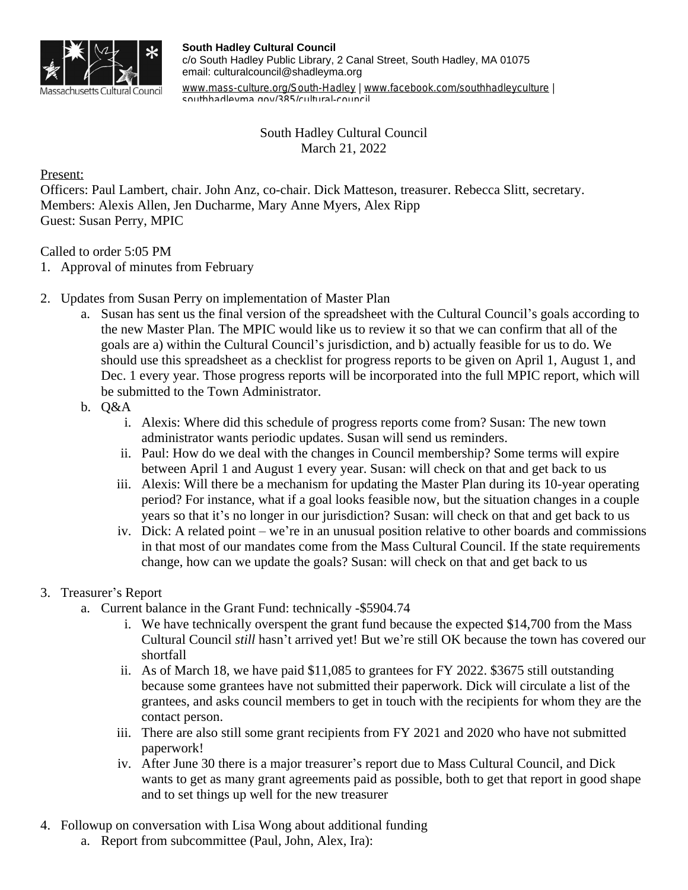

**South Hadley Cultural Council** c/o South Hadley Public Library, 2 Canal Street, South Hadley, MA 01075 email: culturalcouncil@shadleyma.org

[www.mass-culture.org/South-Hadley](http://www.mass-culture.org/South-Hadley) | [www.facebook.com/southhadleyculture](https://www.facebook.com/southhadleyculture) | southhadleyma.gov/285/cultural-council

## South Hadley Cultural Council March 21, 2022

Present:

Officers: Paul Lambert, chair. John Anz, co-chair. Dick Matteson, treasurer. Rebecca Slitt, secretary. Members: Alexis Allen, Jen Ducharme, Mary Anne Myers, Alex Ripp Guest: Susan Perry, MPIC

Called to order 5:05 PM

1. Approval of minutes from February

- 2. Updates from Susan Perry on implementation of Master Plan
	- a. Susan has sent us the final version of the spreadsheet with the Cultural Council's goals according to the new Master Plan. The MPIC would like us to review it so that we can confirm that all of the goals are a) within the Cultural Council's jurisdiction, and b) actually feasible for us to do. We should use this spreadsheet as a checklist for progress reports to be given on April 1, August 1, and Dec. 1 every year. Those progress reports will be incorporated into the full MPIC report, which will be submitted to the Town Administrator.
	- b. Q&A
		- i. Alexis: Where did this schedule of progress reports come from? Susan: The new town administrator wants periodic updates. Susan will send us reminders.
		- ii. Paul: How do we deal with the changes in Council membership? Some terms will expire between April 1 and August 1 every year. Susan: will check on that and get back to us
		- iii. Alexis: Will there be a mechanism for updating the Master Plan during its 10-year operating period? For instance, what if a goal looks feasible now, but the situation changes in a couple years so that it's no longer in our jurisdiction? Susan: will check on that and get back to us
		- iv. Dick: A related point we're in an unusual position relative to other boards and commissions in that most of our mandates come from the Mass Cultural Council. If the state requirements change, how can we update the goals? Susan: will check on that and get back to us

## 3. Treasurer's Report

- a. Current balance in the Grant Fund: technically -\$5904.74
	- i. We have technically overspent the grant fund because the expected \$14,700 from the Mass Cultural Council *still* hasn't arrived yet! But we're still OK because the town has covered our shortfall
	- ii. As of March 18, we have paid \$11,085 to grantees for FY 2022. \$3675 still outstanding because some grantees have not submitted their paperwork. Dick will circulate a list of the grantees, and asks council members to get in touch with the recipients for whom they are the contact person.
	- iii. There are also still some grant recipients from FY 2021 and 2020 who have not submitted paperwork!
	- iv. After June 30 there is a major treasurer's report due to Mass Cultural Council, and Dick wants to get as many grant agreements paid as possible, both to get that report in good shape and to set things up well for the new treasurer
- 4. Followup on conversation with Lisa Wong about additional funding
	- a. Report from subcommittee (Paul, John, Alex, Ira):